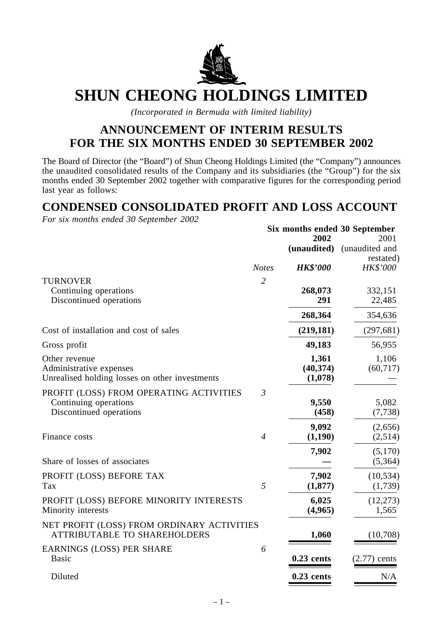

# **SHUN CHEONG HOLDINGS LIMITED**

*(Incorporated in Bermuda with limited liability)*

### **ANNOUNCEMENT OF INTERIM RESULTS FOR THE SIX MONTHS ENDED 30 SEPTEMBER 2002**

The Board of Director (the "Board") of Shun Cheong Holdings Limited (the "Company") announces the unaudited consolidated results of the Company and its subsidiaries (the "Group") for the six months ended 30 September 2002 together with comparative figures for the corresponding period last year as follows:

### **CONDENSED CONSOLIDATED PROFIT AND LOSS ACCOUNT**

*For six months ended 30 September 2002*

|                                                                                             |                | 2002                          | Six months ended 30 September<br>2001 |
|---------------------------------------------------------------------------------------------|----------------|-------------------------------|---------------------------------------|
|                                                                                             |                | (unaudited)                   | (unaudited and<br>restated)           |
|                                                                                             | <b>Notes</b>   | <b>HK\$'000</b>               | HK\$'000                              |
| <b>TURNOVER</b>                                                                             | $\overline{2}$ |                               |                                       |
| Continuing operations<br>Discontinued operations                                            |                | 268,073<br>291                | 332,151<br>22,485                     |
|                                                                                             |                | 268,364                       | 354,636                               |
| Cost of installation and cost of sales                                                      |                | (219, 181)                    | (297, 681)                            |
| Gross profit                                                                                |                | 49,183                        | 56,955                                |
| Other revenue<br>Administrative expenses<br>Unrealised holding losses on other investments  |                | 1,361<br>(40, 374)<br>(1,078) | 1,106<br>(60, 717)                    |
| PROFIT (LOSS) FROM OPERATING ACTIVITIES<br>Continuing operations<br>Discontinued operations | $\mathfrak{Z}$ | 9,550<br>(458)                | 5,082<br>(7, 738)                     |
| Finance costs                                                                               | $\overline{4}$ | 9,092<br>(1,190)              | (2,656)<br>(2,514)                    |
| Share of losses of associates                                                               |                | 7,902                         | (5,170)<br>(5,364)                    |
| PROFIT (LOSS) BEFORE TAX<br>Tax                                                             | 5              | 7,902<br>(1, 877)             | (10, 534)<br>(1,739)                  |
| PROFIT (LOSS) BEFORE MINORITY INTERESTS<br>Minority interests                               |                | 6,025<br>(4,965)              | (12, 273)<br>1,565                    |
| NET PROFIT (LOSS) FROM ORDINARY ACTIVITIES<br><b>ATTRIBUTABLE TO SHAREHOLDERS</b>           |                | 1,060                         | (10,708)                              |
| <b>EARNINGS (LOSS) PER SHARE</b><br><b>Basic</b>                                            | 6              | $0.23$ cents                  | $(2.77)$ cents                        |
| Diluted                                                                                     |                | $0.23$ cents                  | N/A                                   |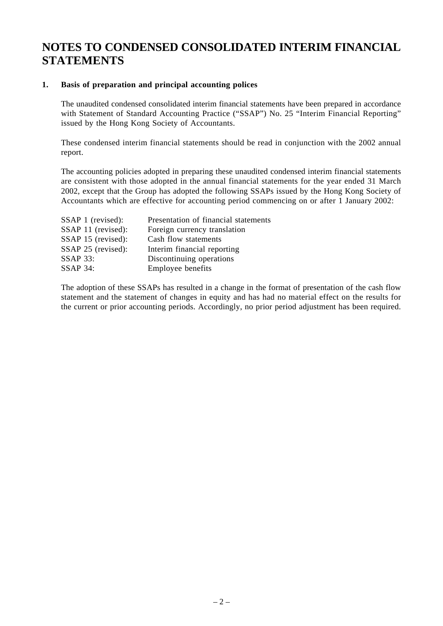### **NOTES TO CONDENSED CONSOLIDATED INTERIM FINANCIAL STATEMENTS**

#### **1. Basis of preparation and principal accounting polices**

The unaudited condensed consolidated interim financial statements have been prepared in accordance with Statement of Standard Accounting Practice ("SSAP") No. 25 "Interim Financial Reporting" issued by the Hong Kong Society of Accountants.

These condensed interim financial statements should be read in conjunction with the 2002 annual report.

The accounting policies adopted in preparing these unaudited condensed interim financial statements are consistent with those adopted in the annual financial statements for the year ended 31 March 2002, except that the Group has adopted the following SSAPs issued by the Hong Kong Society of Accountants which are effective for accounting period commencing on or after 1 January 2002:

| Presentation of financial statements |
|--------------------------------------|
| Foreign currency translation         |
| Cash flow statements                 |
| Interim financial reporting          |
| Discontinuing operations             |
| Employee benefits                    |
|                                      |

The adoption of these SSAPs has resulted in a change in the format of presentation of the cash flow statement and the statement of changes in equity and has had no material effect on the results for the current or prior accounting periods. Accordingly, no prior period adjustment has been required.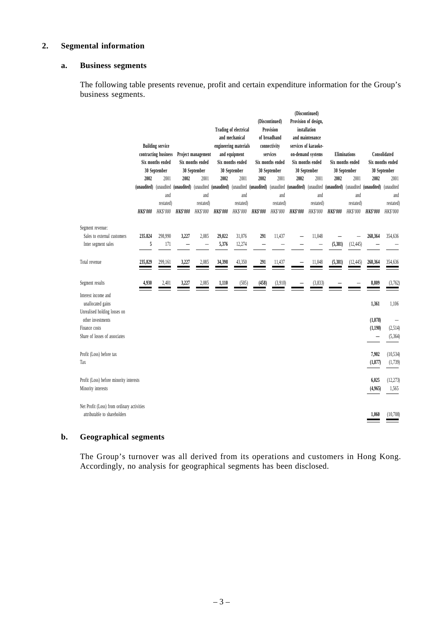#### **2. Segmental information**

#### **a. Business segments**

The following table presents revenue, profit and certain expenditure information for the Group's business segments.

|                                            |                        |                         |                 |                        |                 |                       |                        |                  |                        | (Discontinued)           |                 |                     |                          |                  |
|--------------------------------------------|------------------------|-------------------------|-----------------|------------------------|-----------------|-----------------------|------------------------|------------------|------------------------|--------------------------|-----------------|---------------------|--------------------------|------------------|
|                                            |                        |                         |                 |                        |                 |                       |                        | (Discontinued)   |                        | Provision of design,     |                 |                     |                          |                  |
|                                            |                        |                         |                 |                        |                 | Trading of electrical |                        | Provision        |                        | installation             |                 |                     |                          |                  |
|                                            |                        |                         |                 |                        |                 | and mechanical        |                        | of broadband     |                        | and maintenance          |                 |                     |                          |                  |
|                                            |                        | <b>Building service</b> |                 |                        |                 | engineering materials |                        | connectivity     |                        | services of karaoke-     |                 |                     |                          |                  |
|                                            |                        | contracting business    |                 | Project management     |                 | and equipment         |                        | services         |                        | on-demand systems        |                 | <b>Eliminations</b> |                          | Consolidated     |
|                                            |                        | Six months ended        |                 | Six months ended       |                 | Six months ended      |                        | Six months ended |                        | Six months ended         |                 | Six months ended    |                          | Six months ended |
|                                            |                        | 30 September            |                 | 30 September           | 30 September    |                       | 30 September           |                  | 30 September           |                          | 30 September    |                     | 30 September             |                  |
|                                            | 2002                   | 2001                    | 2002            | 2001                   | 2002            | 2001                  | 2002                   | 2001             | 2002                   | 2001                     | 2002            | 2001                | 2002                     | 2001             |
|                                            | (unaudited) (unaudited |                         | (unaudited)     | (unaudited (unaudited) |                 |                       | (unaudited (unaudited) | (unaudited       | (unaudited) (unaudited |                          | (unaudited)     | (unaudited          | (unaudited)              | (unaudited       |
|                                            |                        | and                     |                 | and                    |                 | and                   |                        | and              |                        | and                      |                 | and                 |                          | and              |
|                                            |                        | restated)               |                 | restated)              |                 | restated)             |                        | restated)        |                        | restated)                |                 | restated)           |                          | restated)        |
|                                            | <b>HK\$'000</b>        | HK\$'000                | <b>HK\$'000</b> | HK\$'000               | <b>HK\$'000</b> | HK\$'000              | <b>HK\$'000</b>        | HK\$'000         | <b>HK\$'000</b>        | HK\$'000                 | <b>HK\$'000</b> | HK\$'000            | <b>HK\$'000</b>          | HK\$'000         |
| Segment revenue:                           |                        |                         |                 |                        |                 |                       |                        |                  |                        |                          |                 |                     |                          |                  |
| Sales to external customers                | 235,824                | 298,990                 | 3,227           | 2,085                  | 29,022          | 31,076                | 291                    | 11,437           |                        | 11,048                   |                 |                     | 268,364                  | 354,636          |
| Inter segment sales                        | 5                      | 171                     |                 |                        | 5,376           | 12,274                |                        |                  |                        | $\overline{\phantom{0}}$ | (5, 381)        | (12, 445)           |                          |                  |
|                                            |                        |                         |                 |                        |                 |                       |                        |                  |                        |                          |                 |                     |                          |                  |
| Total revenue                              | 235,829                | 299,161                 | 3,227           | 2,085                  | 34,398          | 43,350                | 291                    | 11,437           |                        | 11,048                   | (5, 381)        | (12, 445)           | 268,364                  | 354,636          |
|                                            |                        |                         |                 |                        |                 |                       |                        |                  |                        |                          |                 |                     |                          |                  |
| Segment results                            | 4,930                  | 2,401                   | 3,227           | 2,085                  | 1,110           | (505)                 | (458)                  | (3,910)          |                        | (3,833)                  |                 |                     | 8,809                    | (3,762)          |
| Interest income and                        |                        |                         |                 |                        |                 |                       |                        |                  |                        |                          |                 |                     |                          |                  |
| unallocated gains                          |                        |                         |                 |                        |                 |                       |                        |                  |                        |                          |                 |                     | 1,361                    | 1,106            |
| Unrealised holding losses on               |                        |                         |                 |                        |                 |                       |                        |                  |                        |                          |                 |                     |                          |                  |
| other investments                          |                        |                         |                 |                        |                 |                       |                        |                  |                        |                          |                 |                     | (1,078)                  |                  |
| Finance costs                              |                        |                         |                 |                        |                 |                       |                        |                  |                        |                          |                 |                     | (1, 190)                 | (2, 514)         |
| Share of losses of associates              |                        |                         |                 |                        |                 |                       |                        |                  |                        |                          |                 |                     | $\overline{\phantom{0}}$ | (5, 364)         |
|                                            |                        |                         |                 |                        |                 |                       |                        |                  |                        |                          |                 |                     |                          |                  |
| Profit (Loss) before tax                   |                        |                         |                 |                        |                 |                       |                        |                  |                        |                          |                 |                     | 7,902                    | (10, 534)        |
| Tax                                        |                        |                         |                 |                        |                 |                       |                        |                  |                        |                          |                 |                     | (1, 877)                 | (1,739)          |
|                                            |                        |                         |                 |                        |                 |                       |                        |                  |                        |                          |                 |                     |                          |                  |
| Profit (Loss) before minority interests    |                        |                         |                 |                        |                 |                       |                        |                  |                        |                          |                 |                     | 6,025                    | (12, 273)        |
| Minority interests                         |                        |                         |                 |                        |                 |                       |                        |                  |                        |                          |                 |                     | (4,965)                  | 1,565            |
|                                            |                        |                         |                 |                        |                 |                       |                        |                  |                        |                          |                 |                     |                          |                  |
| Net Profit (Loss) from ordinary activities |                        |                         |                 |                        |                 |                       |                        |                  |                        |                          |                 |                     |                          |                  |
| attributable to shareholders               |                        |                         |                 |                        |                 |                       |                        |                  |                        |                          |                 |                     | 1,060                    | (10,708)         |
|                                            |                        |                         |                 |                        |                 |                       |                        |                  |                        |                          |                 |                     |                          |                  |

#### **b. Geographical segments**

The Group's turnover was all derived from its operations and customers in Hong Kong. Accordingly, no analysis for geographical segments has been disclosed.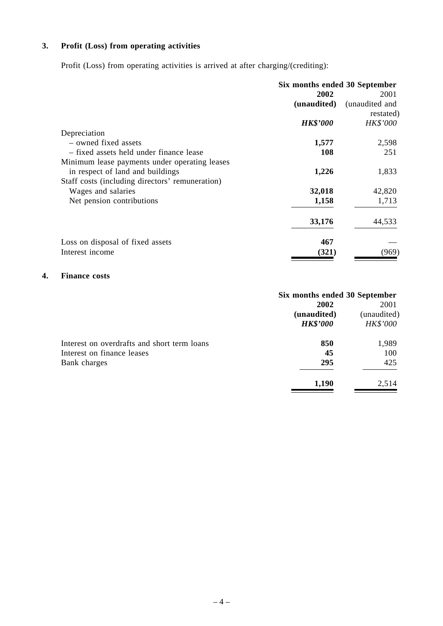### **3. Profit (Loss) from operating activities**

Profit (Loss) from operating activities is arrived at after charging/(crediting):

|                                                 | Six months ended 30 September |                |  |
|-------------------------------------------------|-------------------------------|----------------|--|
|                                                 | 2002                          | 2001           |  |
|                                                 | (unaudited)                   | (unaudited and |  |
|                                                 |                               | restated)      |  |
|                                                 | <b>HK\$'000</b>               | HK\$'000       |  |
| Depreciation                                    |                               |                |  |
| - owned fixed assets                            | 1,577                         | 2,598          |  |
| - fixed assets held under finance lease         | <b>108</b>                    | 251            |  |
| Minimum lease payments under operating leases   |                               |                |  |
| in respect of land and buildings                | 1,226                         | 1,833          |  |
| Staff costs (including directors' remuneration) |                               |                |  |
| Wages and salaries                              | 32,018                        | 42,820         |  |
| Net pension contributions                       | 1,158                         | 1,713          |  |
|                                                 | 33,176                        | 44,533         |  |
| Loss on disposal of fixed assets                | 467                           |                |  |
| Interest income                                 | (321)                         | (969)          |  |

### **4. Finance costs**

|                                             | Six months ended 30 September |             |  |
|---------------------------------------------|-------------------------------|-------------|--|
|                                             | 2002                          | 2001        |  |
|                                             | (unaudited)                   | (unaudited) |  |
|                                             | <b>HK\$'000</b>               | HK\$'000    |  |
| Interest on overdrafts and short term loans | 850                           | 1,989       |  |
| Interest on finance leases                  | 45                            | 100         |  |
| Bank charges                                | 295                           | 425         |  |
|                                             | 1,190                         | 2,514       |  |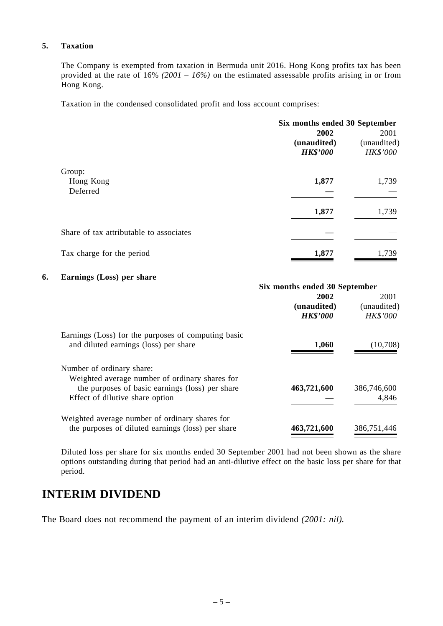### **5. Taxation**

The Company is exempted from taxation in Bermuda unit 2016. Hong Kong profits tax has been provided at the rate of 16% *(2001 – 16%)* on the estimated assessable profits arising in or from Hong Kong.

Taxation in the condensed consolidated profit and loss account comprises:

|                                         | Six months ended 30 September<br>2002<br>(unaudited)<br><b>HK\$'000</b> | 2001<br>(unaudited)<br><b>HK\$'000</b> |
|-----------------------------------------|-------------------------------------------------------------------------|----------------------------------------|
| Group:                                  |                                                                         |                                        |
| Hong Kong                               | 1,877                                                                   | 1,739                                  |
| Deferred                                |                                                                         |                                        |
|                                         | 1,877                                                                   | 1,739                                  |
| Share of tax attributable to associates |                                                                         |                                        |
| Tax charge for the period               | 1,877                                                                   | 1,739                                  |

#### **6. Earnings (Loss) per share**

| <b>Earlings</b> ( <i>Loss</i> ) per share                                                                                                                         | Six months ended 30 September          |                                        |  |
|-------------------------------------------------------------------------------------------------------------------------------------------------------------------|----------------------------------------|----------------------------------------|--|
|                                                                                                                                                                   | 2002<br>(unaudited)<br><b>HK\$'000</b> | 2001<br>(unaudited)<br><b>HK\$'000</b> |  |
| Earnings (Loss) for the purposes of computing basic<br>and diluted earnings (loss) per share                                                                      | 1,060                                  | (10,708)                               |  |
| Number of ordinary share:<br>Weighted average number of ordinary shares for<br>the purposes of basic earnings (loss) per share<br>Effect of dilutive share option | 463,721,600                            | 386,746,600<br>4,846                   |  |
| Weighted average number of ordinary shares for<br>the purposes of diluted earnings (loss) per share                                                               | 463,721,600                            | 386,751,446                            |  |

Diluted loss per share for six months ended 30 September 2001 had not been shown as the share options outstanding during that period had an anti-dilutive effect on the basic loss per share for that period.

### **INTERIM DIVIDEND**

The Board does not recommend the payment of an interim dividend *(2001: nil)*.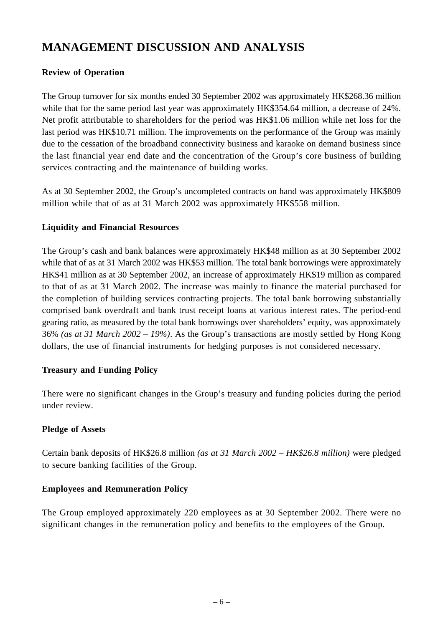# **MANAGEMENT DISCUSSION AND ANALYSIS**

### **Review of Operation**

The Group turnover for six months ended 30 September 2002 was approximately HK\$268.36 million while that for the same period last year was approximately HK\$354.64 million, a decrease of 24%. Net profit attributable to shareholders for the period was HK\$1.06 million while net loss for the last period was HK\$10.71 million. The improvements on the performance of the Group was mainly due to the cessation of the broadband connectivity business and karaoke on demand business since the last financial year end date and the concentration of the Group's core business of building services contracting and the maintenance of building works.

As at 30 September 2002, the Group's uncompleted contracts on hand was approximately HK\$809 million while that of as at 31 March 2002 was approximately HK\$558 million.

### **Liquidity and Financial Resources**

The Group's cash and bank balances were approximately HK\$48 million as at 30 September 2002 while that of as at 31 March 2002 was HK\$53 million. The total bank borrowings were approximately HK\$41 million as at 30 September 2002, an increase of approximately HK\$19 million as compared to that of as at 31 March 2002. The increase was mainly to finance the material purchased for the completion of building services contracting projects. The total bank borrowing substantially comprised bank overdraft and bank trust receipt loans at various interest rates. The period-end gearing ratio, as measured by the total bank borrowings over shareholders' equity, was approximately 36% *(as at 31 March 2002 – 19%)*. As the Group's transactions are mostly settled by Hong Kong dollars, the use of financial instruments for hedging purposes is not considered necessary.

### **Treasury and Funding Policy**

There were no significant changes in the Group's treasury and funding policies during the period under review.

### **Pledge of Assets**

Certain bank deposits of HK\$26.8 million *(as at 31 March 2002 – HK\$26.8 million)* were pledged to secure banking facilities of the Group.

### **Employees and Remuneration Policy**

The Group employed approximately 220 employees as at 30 September 2002. There were no significant changes in the remuneration policy and benefits to the employees of the Group.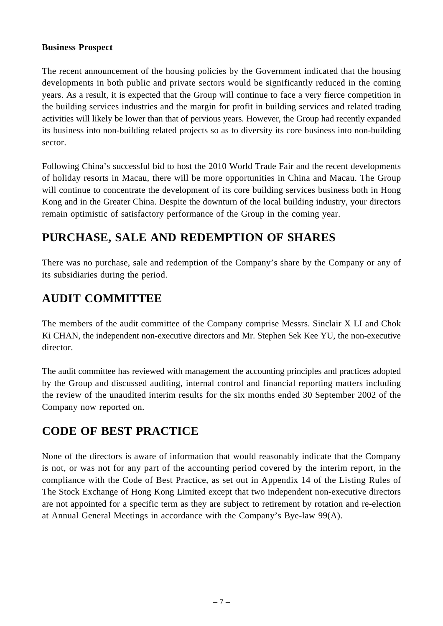### **Business Prospect**

The recent announcement of the housing policies by the Government indicated that the housing developments in both public and private sectors would be significantly reduced in the coming years. As a result, it is expected that the Group will continue to face a very fierce competition in the building services industries and the margin for profit in building services and related trading activities will likely be lower than that of pervious years. However, the Group had recently expanded its business into non-building related projects so as to diversity its core business into non-building sector.

Following China's successful bid to host the 2010 World Trade Fair and the recent developments of holiday resorts in Macau, there will be more opportunities in China and Macau. The Group will continue to concentrate the development of its core building services business both in Hong Kong and in the Greater China. Despite the downturn of the local building industry, your directors remain optimistic of satisfactory performance of the Group in the coming year.

### **PURCHASE, SALE AND REDEMPTION OF SHARES**

There was no purchase, sale and redemption of the Company's share by the Company or any of its subsidiaries during the period.

# **AUDIT COMMITTEE**

The members of the audit committee of the Company comprise Messrs. Sinclair X LI and Chok Ki CHAN, the independent non-executive directors and Mr. Stephen Sek Kee YU, the non-executive director.

The audit committee has reviewed with management the accounting principles and practices adopted by the Group and discussed auditing, internal control and financial reporting matters including the review of the unaudited interim results for the six months ended 30 September 2002 of the Company now reported on.

# **CODE OF BEST PRACTICE**

None of the directors is aware of information that would reasonably indicate that the Company is not, or was not for any part of the accounting period covered by the interim report, in the compliance with the Code of Best Practice, as set out in Appendix 14 of the Listing Rules of The Stock Exchange of Hong Kong Limited except that two independent non-executive directors are not appointed for a specific term as they are subject to retirement by rotation and re-election at Annual General Meetings in accordance with the Company's Bye-law 99(A).